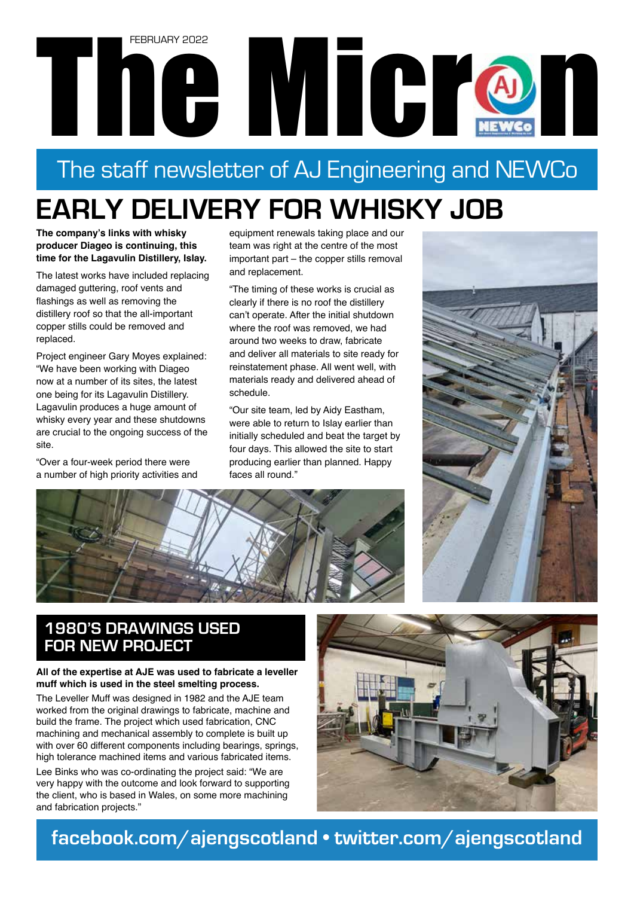# The Microsoft Contractor Contractor Contractor FEBRUARY 2022

# The staff newsletter of AJ Engineering and NEWCo

# **EARLY DELIVERY FOR WHISKY JOB**

**The company's links with whisky producer Diageo is continuing, this time for the Lagavulin Distillery, Islay.** 

The latest works have included replacing damaged guttering, roof vents and flashings as well as removing the distillery roof so that the all-important copper stills could be removed and replaced.

Project engineer Gary Moyes explained: "We have been working with Diageo now at a number of its sites, the latest one being for its Lagavulin Distillery. Lagavulin produces a huge amount of whisky every year and these shutdowns are crucial to the ongoing success of the site.

"Over a four-week period there were a number of high priority activities and

equipment renewals taking place and our team was right at the centre of the most important part – the copper stills removal and replacement.

"The timing of these works is crucial as clearly if there is no roof the distillery can't operate. After the initial shutdown where the roof was removed, we had around two weeks to draw, fabricate and deliver all materials to site ready for reinstatement phase. All went well, with materials ready and delivered ahead of schedule.

"Our site team, led by Aidy Eastham, were able to return to Islay earlier than initially scheduled and beat the target by four days. This allowed the site to start producing earlier than planned. Happy faces all round."





### **1980'S DRAWINGS USED FOR NEW PROJECT**

#### **All of the expertise at AJE was used to fabricate a leveller muff which is used in the steel smelting process.**

The Leveller Muff was designed in 1982 and the AJE team worked from the original drawings to fabricate, machine and build the frame. The project which used fabrication, CNC machining and mechanical assembly to complete is built up with over 60 different components including bearings, springs, high tolerance machined items and various fabricated items.

Lee Binks who was co-ordinating the project said: "We are very happy with the outcome and look forward to supporting the client, who is based in Wales, on some more machining and fabrication projects."



**facebook.com/ajengscotland • twitter.com/ajengscotland**